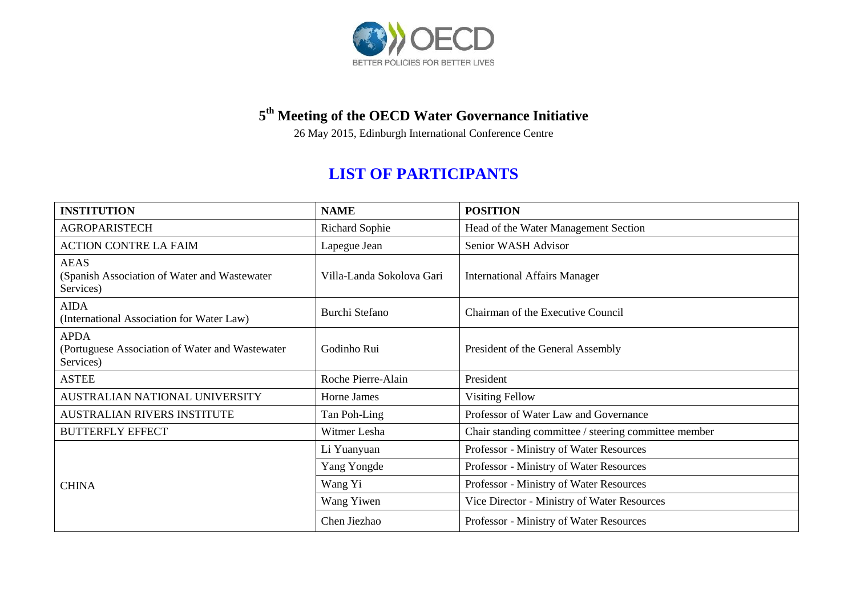

## **5 th Meeting of the OECD Water Governance Initiative**

26 May 2015, Edinburgh International Conference Centre

## **LIST OF PARTICIPANTS**

| <b>INSTITUTION</b>                                                           | <b>NAME</b>               | <b>POSITION</b>                                      |
|------------------------------------------------------------------------------|---------------------------|------------------------------------------------------|
| <b>AGROPARISTECH</b>                                                         | <b>Richard Sophie</b>     | Head of the Water Management Section                 |
| <b>ACTION CONTRE LA FAIM</b>                                                 | Lapegue Jean              | Senior WASH Advisor                                  |
| <b>AEAS</b><br>(Spanish Association of Water and Wastewater)<br>Services)    | Villa-Landa Sokolova Gari | <b>International Affairs Manager</b>                 |
| <b>AIDA</b><br>(International Association for Water Law)                     | Burchi Stefano            | Chairman of the Executive Council                    |
| <b>APDA</b><br>(Portuguese Association of Water and Wastewater)<br>Services) | Godinho Rui               | President of the General Assembly                    |
| <b>ASTEE</b>                                                                 | Roche Pierre-Alain        | President                                            |
| AUSTRALIAN NATIONAL UNIVERSITY                                               | Horne James               | <b>Visiting Fellow</b>                               |
| AUSTRALIAN RIVERS INSTITUTE                                                  | Tan Poh-Ling              | Professor of Water Law and Governance                |
| <b>BUTTERFLY EFFECT</b>                                                      | Witmer Lesha              | Chair standing committee / steering committee member |
| <b>CHINA</b>                                                                 | Li Yuanyuan               | Professor - Ministry of Water Resources              |
|                                                                              | Yang Yongde               | Professor - Ministry of Water Resources              |
|                                                                              | Wang Yi                   | Professor - Ministry of Water Resources              |
|                                                                              | Wang Yiwen                | Vice Director - Ministry of Water Resources          |
|                                                                              | Chen Jiezhao              | Professor - Ministry of Water Resources              |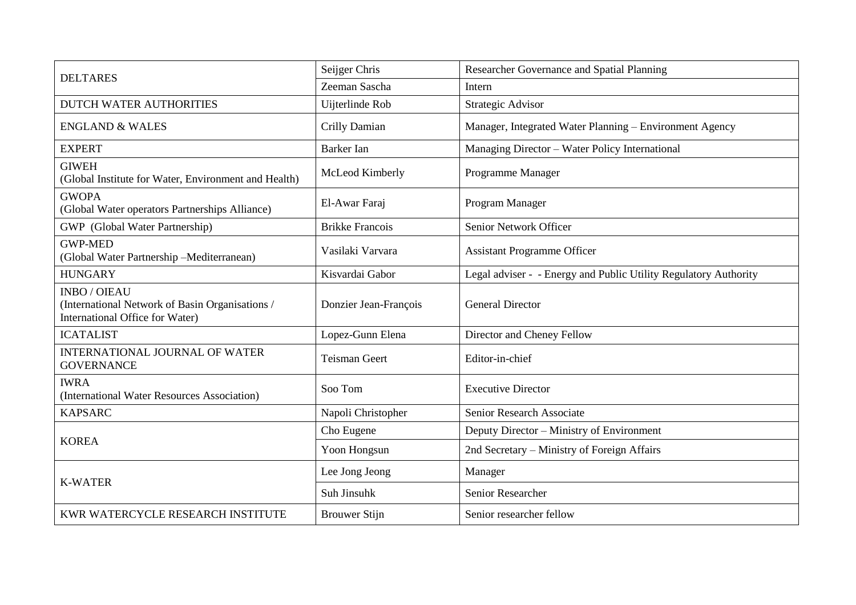| <b>DELTARES</b>                                                                                           | Seijger Chris          | Researcher Governance and Spatial Planning                       |
|-----------------------------------------------------------------------------------------------------------|------------------------|------------------------------------------------------------------|
|                                                                                                           | Zeeman Sascha          | Intern                                                           |
| <b>DUTCH WATER AUTHORITIES</b>                                                                            | Uijterlinde Rob        | Strategic Advisor                                                |
| <b>ENGLAND &amp; WALES</b>                                                                                | Crilly Damian          | Manager, Integrated Water Planning - Environment Agency          |
| <b>EXPERT</b>                                                                                             | <b>Barker</b> Ian      | Managing Director - Water Policy International                   |
| <b>GIWEH</b><br>(Global Institute for Water, Environment and Health)                                      | McLeod Kimberly        | Programme Manager                                                |
| <b>GWOPA</b><br>(Global Water operators Partnerships Alliance)                                            | El-Awar Faraj          | Program Manager                                                  |
| GWP (Global Water Partnership)                                                                            | <b>Brikke Francois</b> | Senior Network Officer                                           |
| <b>GWP-MED</b><br>(Global Water Partnership -Mediterranean)                                               | Vasilaki Varvara       | <b>Assistant Programme Officer</b>                               |
| <b>HUNGARY</b>                                                                                            | Kisvardai Gabor        | Legal adviser - - Energy and Public Utility Regulatory Authority |
| <b>INBO / OIEAU</b><br>(International Network of Basin Organisations /<br>International Office for Water) | Donzier Jean-François  | <b>General Director</b>                                          |
| <b>ICATALIST</b>                                                                                          | Lopez-Gunn Elena       | Director and Cheney Fellow                                       |
| INTERNATIONAL JOURNAL OF WATER<br><b>GOVERNANCE</b>                                                       | <b>Teisman Geert</b>   | Editor-in-chief                                                  |
| <b>IWRA</b><br>(International Water Resources Association)                                                | Soo Tom                | <b>Executive Director</b>                                        |
| <b>KAPSARC</b>                                                                                            | Napoli Christopher     | Senior Research Associate                                        |
| <b>KOREA</b>                                                                                              | Cho Eugene             | Deputy Director – Ministry of Environment                        |
|                                                                                                           | Yoon Hongsun           | 2nd Secretary - Ministry of Foreign Affairs                      |
| <b>K-WATER</b>                                                                                            | Lee Jong Jeong         | Manager                                                          |
|                                                                                                           | Suh Jinsuhk            | Senior Researcher                                                |
| KWR WATERCYCLE RESEARCH INSTITUTE                                                                         | <b>Brouwer Stijn</b>   | Senior researcher fellow                                         |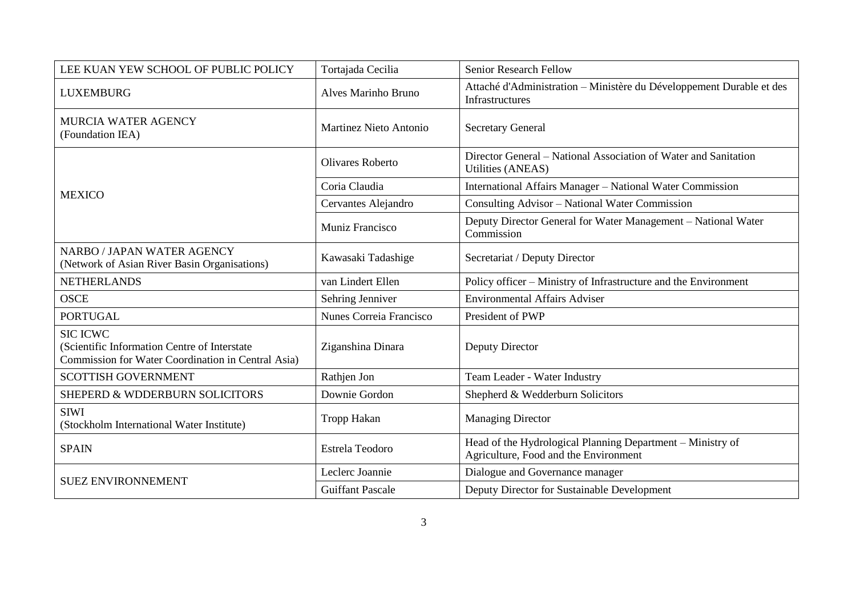| LEE KUAN YEW SCHOOL OF PUBLIC POLICY                                                                                  | Tortajada Cecilia             | Senior Research Fellow                                                                              |
|-----------------------------------------------------------------------------------------------------------------------|-------------------------------|-----------------------------------------------------------------------------------------------------|
| <b>LUXEMBURG</b>                                                                                                      | Alves Marinho Bruno           | Attaché d'Administration - Ministère du Développement Durable et des<br>Infrastructures             |
| MURCIA WATER AGENCY<br>(Foundation IEA)                                                                               | <b>Martinez Nieto Antonio</b> | <b>Secretary General</b>                                                                            |
| <b>MEXICO</b>                                                                                                         | Olivares Roberto              | Director General – National Association of Water and Sanitation<br><b>Utilities (ANEAS)</b>         |
|                                                                                                                       | Coria Claudia                 | International Affairs Manager - National Water Commission                                           |
|                                                                                                                       | Cervantes Alejandro           | Consulting Advisor - National Water Commission                                                      |
|                                                                                                                       | Muniz Francisco               | Deputy Director General for Water Management - National Water<br>Commission                         |
| <b>NARBO / JAPAN WATER AGENCY</b><br>(Network of Asian River Basin Organisations)                                     | Kawasaki Tadashige            | Secretariat / Deputy Director                                                                       |
| <b>NETHERLANDS</b>                                                                                                    | van Lindert Ellen             | Policy officer - Ministry of Infrastructure and the Environment                                     |
| <b>OSCE</b>                                                                                                           | Sehring Jenniver              | <b>Environmental Affairs Adviser</b>                                                                |
| <b>PORTUGAL</b>                                                                                                       | Nunes Correia Francisco       | President of PWP                                                                                    |
| <b>SIC ICWC</b><br>(Scientific Information Centre of Interstate<br>Commission for Water Coordination in Central Asia) | Ziganshina Dinara             | Deputy Director                                                                                     |
| <b>SCOTTISH GOVERNMENT</b>                                                                                            | Rathjen Jon                   | Team Leader - Water Industry                                                                        |
| SHEPERD & WDDERBURN SOLICITORS                                                                                        | Downie Gordon                 | Shepherd & Wedderburn Solicitors                                                                    |
| <b>SIWI</b><br>(Stockholm International Water Institute)                                                              | <b>Tropp Hakan</b>            | <b>Managing Director</b>                                                                            |
| <b>SPAIN</b>                                                                                                          | Estrela Teodoro               | Head of the Hydrological Planning Department - Ministry of<br>Agriculture, Food and the Environment |
| <b>SUEZ ENVIRONNEMENT</b>                                                                                             | Leclerc Joannie               | Dialogue and Governance manager                                                                     |
|                                                                                                                       | <b>Guiffant Pascale</b>       | Deputy Director for Sustainable Development                                                         |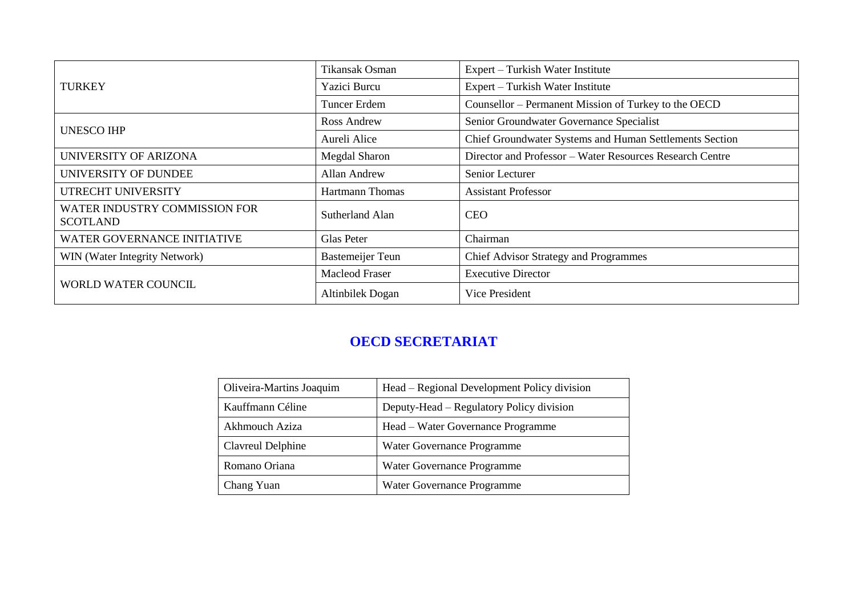| <b>TURKEY</b>                                    | Tikansak Osman          | Expert – Turkish Water Institute                         |
|--------------------------------------------------|-------------------------|----------------------------------------------------------|
|                                                  | Yazici Burcu            | Expert – Turkish Water Institute                         |
|                                                  | <b>Tuncer Erdem</b>     | Counsellor – Permanent Mission of Turkey to the OECD     |
| <b>UNESCO IHP</b>                                | Ross Andrew             | Senior Groundwater Governance Specialist                 |
|                                                  | Aureli Alice            | Chief Groundwater Systems and Human Settlements Section  |
| UNIVERSITY OF ARIZONA                            | <b>Megdal Sharon</b>    | Director and Professor - Water Resources Research Centre |
| UNIVERSITY OF DUNDEE                             | <b>Allan Andrew</b>     | Senior Lecturer                                          |
| UTRECHT UNIVERSITY                               | <b>Hartmann Thomas</b>  | <b>Assistant Professor</b>                               |
| WATER INDUSTRY COMMISSION FOR<br><b>SCOTLAND</b> | Sutherland Alan         | <b>CEO</b>                                               |
| <b>WATER GOVERNANCE INITIATIVE</b>               | <b>Glas Peter</b>       | Chairman                                                 |
| WIN (Water Integrity Network)                    | <b>Bastemeijer Teun</b> | <b>Chief Advisor Strategy and Programmes</b>             |
| <b>WORLD WATER COUNCIL</b>                       | <b>Macleod Fraser</b>   | <b>Executive Director</b>                                |
|                                                  | Altinbilek Dogan        | Vice President                                           |

## **OECD SECRETARIAT**

| Oliveira-Martins Joaquim | Head – Regional Development Policy division |
|--------------------------|---------------------------------------------|
| Kauffmann Céline         | Deputy-Head – Regulatory Policy division    |
| Akhmouch Aziza           | Head – Water Governance Programme           |
| Clavreul Delphine        | Water Governance Programme                  |
| Romano Oriana            | Water Governance Programme                  |
| Chang Yuan               | Water Governance Programme                  |